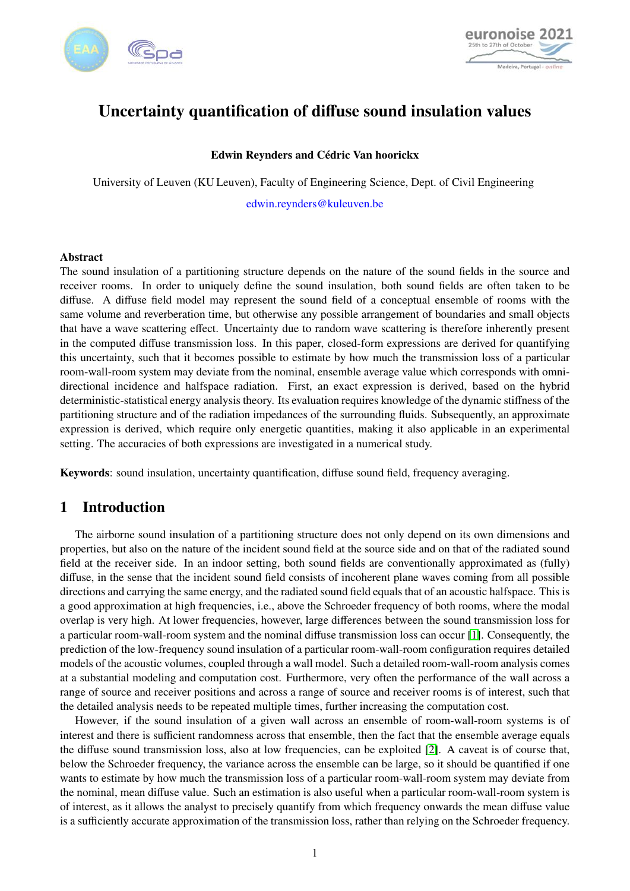



# Uncertainty quantification of diffuse sound insulation values

### Edwin Reynders and Cédric Van hoorickx

University of Leuven (KU Leuven), Faculty of Engineering Science, Dept. of Civil Engineering edwin.reynders@kuleuven.be

### Abstract

The sound insulation of a partitioning structure depends on the nature of the sound fields in the source and receiver rooms. In order to uniquely define the sound insulation, both sound fields are often taken to be diffuse. A diffuse field model may represent the sound field of a conceptual ensemble of rooms with the same volume and reverberation time, but otherwise any possible arrangement of boundaries and small objects that have a wave scattering effect. Uncertainty due to random wave scattering is therefore inherently present in the computed diffuse transmission loss. In this paper, closed-form expressions are derived for quantifying this uncertainty, such that it becomes possible to estimate by how much the transmission loss of a particular room-wall-room system may deviate from the nominal, ensemble average value which corresponds with omnidirectional incidence and halfspace radiation. First, an exact expression is derived, based on the hybrid deterministic-statistical energy analysis theory. Its evaluation requires knowledge of the dynamic stiffness of the partitioning structure and of the radiation impedances of the surrounding fluids. Subsequently, an approximate expression is derived, which require only energetic quantities, making it also applicable in an experimental setting. The accuracies of both expressions are investigated in a numerical study.

Keywords: sound insulation, uncertainty quantification, diffuse sound field, frequency averaging.

# 1 Introduction

The airborne sound insulation of a partitioning structure does not only depend on its own dimensions and properties, but also on the nature of the incident sound field at the source side and on that of the radiated sound field at the receiver side. In an indoor setting, both sound fields are conventionally approximated as (fully) diffuse, in the sense that the incident sound field consists of incoherent plane waves coming from all possible directions and carrying the same energy, and the radiated sound field equals that of an acoustic halfspace. This is a good approximation at high frequencies, i.e., above the Schroeder frequency of both rooms, where the modal overlap is very high. At lower frequencies, however, large differences between the sound transmission loss for a particular room-wall-room system and the nominal diffuse transmission loss can occur [\[1\]](#page-9-0). Consequently, the prediction of the low-frequency sound insulation of a particular room-wall-room configuration requires detailed models of the acoustic volumes, coupled through a wall model. Such a detailed room-wall-room analysis comes at a substantial modeling and computation cost. Furthermore, very often the performance of the wall across a range of source and receiver positions and across a range of source and receiver rooms is of interest, such that the detailed analysis needs to be repeated multiple times, further increasing the computation cost.

However, if the sound insulation of a given wall across an ensemble of room-wall-room systems is of interest and there is sufficient randomness across that ensemble, then the fact that the ensemble average equals the diffuse sound transmission loss, also at low frequencies, can be exploited [\[2\]](#page-9-1). A caveat is of course that, below the Schroeder frequency, the variance across the ensemble can be large, so it should be quantified if one wants to estimate by how much the transmission loss of a particular room-wall-room system may deviate from the nominal, mean diffuse value. Such an estimation is also useful when a particular room-wall-room system is of interest, as it allows the analyst to precisely quantify from which frequency onwards the mean diffuse value is a sufficiently accurate approximation of the transmission loss, rather than relying on the Schroeder frequency.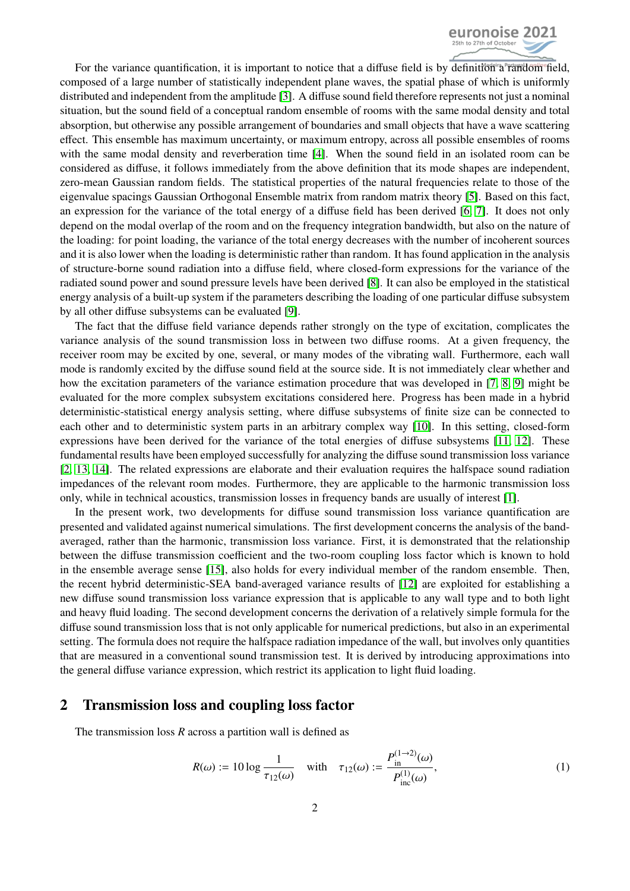

For the variance quantification, it is important to notice that a diffuse field is by definition a random field, composed of a large number of statistically independent plane waves, the spatial phase of which is uniformly distributed and independent from the amplitude [\[3\]](#page-9-2). A diffuse sound field therefore represents not just a nominal situation, but the sound field of a conceptual random ensemble of rooms with the same modal density and total absorption, but otherwise any possible arrangement of boundaries and small objects that have a wave scattering effect. This ensemble has maximum uncertainty, or maximum entropy, across all possible ensembles of rooms with the same modal density and reverberation time [\[4\]](#page-9-3). When the sound field in an isolated room can be considered as diffuse, it follows immediately from the above definition that its mode shapes are independent, zero-mean Gaussian random fields. The statistical properties of the natural frequencies relate to those of the eigenvalue spacings Gaussian Orthogonal Ensemble matrix from random matrix theory [\[5\]](#page-9-4). Based on this fact, an expression for the variance of the total energy of a diffuse field has been derived [\[6,](#page-9-5) [7\]](#page-9-6). It does not only depend on the modal overlap of the room and on the frequency integration bandwidth, but also on the nature of the loading: for point loading, the variance of the total energy decreases with the number of incoherent sources and it is also lower when the loading is deterministic rather than random. It has found application in the analysis of structure-borne sound radiation into a diffuse field, where closed-form expressions for the variance of the radiated sound power and sound pressure levels have been derived [\[8\]](#page-9-7). It can also be employed in the statistical energy analysis of a built-up system if the parameters describing the loading of one particular diffuse subsystem by all other diffuse subsystems can be evaluated [\[9\]](#page-9-8).

The fact that the diffuse field variance depends rather strongly on the type of excitation, complicates the variance analysis of the sound transmission loss in between two diffuse rooms. At a given frequency, the receiver room may be excited by one, several, or many modes of the vibrating wall. Furthermore, each wall mode is randomly excited by the diffuse sound field at the source side. It is not immediately clear whether and how the excitation parameters of the variance estimation procedure that was developed in [\[7,](#page-9-6) [8,](#page-9-7) [9\]](#page-9-8) might be evaluated for the more complex subsystem excitations considered here. Progress has been made in a hybrid deterministic-statistical energy analysis setting, where diffuse subsystems of finite size can be connected to each other and to deterministic system parts in an arbitrary complex way [\[10\]](#page-9-9). In this setting, closed-form expressions have been derived for the variance of the total energies of diffuse subsystems [\[11,](#page-9-10) [12\]](#page-9-11). These fundamental results have been employed successfully for analyzing the diffuse sound transmission loss variance [\[2,](#page-9-1) [13,](#page-9-12) [14\]](#page-9-13). The related expressions are elaborate and their evaluation requires the halfspace sound radiation impedances of the relevant room modes. Furthermore, they are applicable to the harmonic transmission loss only, while in technical acoustics, transmission losses in frequency bands are usually of interest [\[1\]](#page-9-0).

In the present work, two developments for diffuse sound transmission loss variance quantification are presented and validated against numerical simulations. The first development concerns the analysis of the bandaveraged, rather than the harmonic, transmission loss variance. First, it is demonstrated that the relationship between the diffuse transmission coefficient and the two-room coupling loss factor which is known to hold in the ensemble average sense [\[15\]](#page-9-14), also holds for every individual member of the random ensemble. Then, the recent hybrid deterministic-SEA band-averaged variance results of [\[12\]](#page-9-11) are exploited for establishing a new diffuse sound transmission loss variance expression that is applicable to any wall type and to both light and heavy fluid loading. The second development concerns the derivation of a relatively simple formula for the diffuse sound transmission loss that is not only applicable for numerical predictions, but also in an experimental setting. The formula does not require the halfspace radiation impedance of the wall, but involves only quantities that are measured in a conventional sound transmission test. It is derived by introducing approximations into the general diffuse variance expression, which restrict its application to light fluid loading.

## 2 Transmission loss and coupling loss factor

The transmission loss *R* across a partition wall is defined as

<span id="page-1-0"></span>
$$
R(\omega) := 10 \log \frac{1}{\tau_{12}(\omega)} \quad \text{with} \quad \tau_{12}(\omega) := \frac{P_{\text{in}}^{(1 \to 2)}(\omega)}{P_{\text{inc}}^{(1)}(\omega)},\tag{1}
$$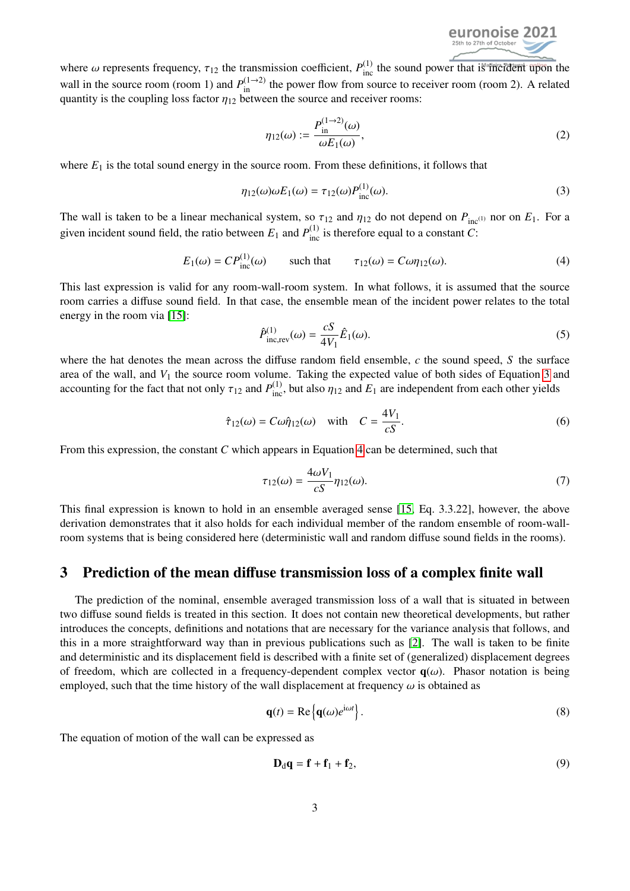<span id="page-2-3"></span><span id="page-2-1"></span><span id="page-2-0"></span>

where  $\omega$  represents frequency,  $\tau_{12}$  the transmission coefficient,  $P_{\text{inc}}^{(1)}$  the sound power that is flicted upon the well in the source room (room 1) and  $P^{(1\rightarrow 2)}$  the power flow from source to receiver room ( wall in the source room (room 1) and  $P_{\text{in}}^{(1\to2)}$  the power flow from source to receiver room (room 2). A related quantity is the coupling loss factor  $\eta_{12}$  between the source and receiver rooms:

$$
\eta_{12}(\omega) := \frac{P_{\text{in}}^{(1\to 2)}(\omega)}{\omega E_1(\omega)},\tag{2}
$$

where  $E_1$  is the total sound energy in the source room. From these definitions, it follows that

$$
\eta_{12}(\omega)\omega E_1(\omega) = \tau_{12}(\omega)P_{\text{inc}}^{(1)}(\omega). \tag{3}
$$

The wall is taken to be a linear mechanical system, so  $\tau_{12}$  and  $\eta_{12}$  do not depend on  $P_{\text{inc}}(1)$  nor on  $E_1$ . For a given incident sound field, the ratio between  $E_1$  and  $P_{\text{inc}}^{(1)}$  is therefore equal to a constant *C*:

$$
E_1(\omega) = CP_{\text{inc}}^{(1)}(\omega) \qquad \text{such that} \qquad \tau_{12}(\omega) = C\omega \eta_{12}(\omega). \tag{4}
$$

This last expression is valid for any room-wall-room system. In what follows, it is assumed that the source room carries a diffuse sound field. In that case, the ensemble mean of the incident power relates to the total energy in the room via [\[15\]](#page-9-14):

<span id="page-2-4"></span>
$$
\hat{P}_{\text{inc,rev}}^{(1)}(\omega) = \frac{cS}{4V_1}\hat{E}_1(\omega). \tag{5}
$$

where the hat denotes the mean across the diffuse random field ensemble, *c* the sound speed, *S* the surface area of the wall, and  $V_1$  the source room volume. Taking the expected value of both sides of Equation [3](#page-2-0) and accounting for the fact that not only  $\tau_{12}$  and  $P_{\text{inc}}^{(1)}$ , but also  $\eta_{12}$  and  $E_1$  are independent from each other yields

$$
\hat{\tau}_{12}(\omega) = C\omega \hat{\eta}_{12}(\omega) \quad \text{with} \quad C = \frac{4V_1}{cS}.
$$

From this expression, the constant *C* which appears in Equation [4](#page-2-1) can be determined, such that

$$
\tau_{12}(\omega) = \frac{4\omega V_1}{cS} \eta_{12}(\omega). \tag{7}
$$

This final expression is known to hold in an ensemble averaged sense [\[15,](#page-9-14) Eq. 3.3.22], however, the above derivation demonstrates that it also holds for each individual member of the random ensemble of room-wallroom systems that is being considered here (deterministic wall and random diffuse sound fields in the rooms).

### 3 Prediction of the mean diffuse transmission loss of a complex finite wall

The prediction of the nominal, ensemble averaged transmission loss of a wall that is situated in between two diffuse sound fields is treated in this section. It does not contain new theoretical developments, but rather introduces the concepts, definitions and notations that are necessary for the variance analysis that follows, and this in a more straightforward way than in previous publications such as [\[2\]](#page-9-1). The wall is taken to be finite and deterministic and its displacement field is described with a finite set of (generalized) displacement degrees of freedom, which are collected in a frequency-dependent complex vector  $q(\omega)$ . Phasor notation is being employed, such that the time history of the wall displacement at frequency  $\omega$  is obtained as

$$
\mathbf{q}(t) = \text{Re}\left\{\mathbf{q}(\omega)e^{i\omega t}\right\}.
$$
 (8)

The equation of motion of the wall can be expressed as

<span id="page-2-2"></span>
$$
\mathbf{D}_{\mathrm{d}}\mathbf{q} = \mathbf{f} + \mathbf{f}_1 + \mathbf{f}_2,\tag{9}
$$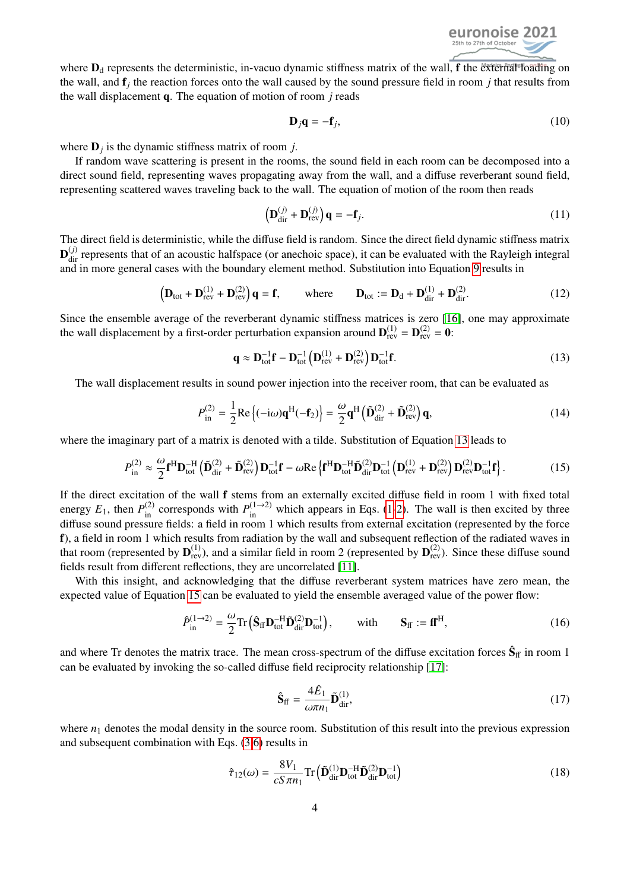

where  $D_d$  represents the deterministic, in-vacuo dynamic stiffness matrix of the wall, f the external loading on the wall, and f*<sup>j</sup>* the reaction forces onto the wall caused by the sound pressure field in room *j* that results from the wall displacement q. The equation of motion of room *j* reads

$$
\mathbf{D}_j \mathbf{q} = -\mathbf{f}_j,\tag{10}
$$

where  $D_j$  is the dynamic stiffness matrix of room *j*.

If random wave scattering is present in the rooms, the sound field in each room can be decomposed into a direct sound field, representing waves propagating away from the wall, and a diffuse reverberant sound field, representing scattered waves traveling back to the wall. The equation of motion of the room then reads

<span id="page-3-0"></span>
$$
\left(\mathbf{D}_{\text{dir}}^{(j)} + \mathbf{D}_{\text{rev}}^{(j)}\right)\mathbf{q} = -\mathbf{f}_j.
$$
\n(11)

The direct field is deterministic, while the diffuse field is random. Since the direct field dynamic stiffness matrix  $\mathbf{D}_{\text{dir}}^{(j)}$  represents that of an acoustic halfspace (or anechoic space), it can be evaluated with the Rayleigh integral and in more general cases with the boundary element method. Substitution into Equation [9](#page-2-2) results in

$$
\left(\mathbf{D}_{\text{tot}} + \mathbf{D}_{\text{rev}}^{(1)} + \mathbf{D}_{\text{rev}}^{(2)}\right)\mathbf{q} = \mathbf{f}, \qquad \text{where} \qquad \mathbf{D}_{\text{tot}} := \mathbf{D}_{\text{d}} + \mathbf{D}_{\text{dir}}^{(1)} + \mathbf{D}_{\text{dir}}^{(2)}.
$$
 (12)

Since the ensemble average of the reverberant dynamic stiffness matrices is zero [\[16\]](#page-9-15), one may approximate the wall displacement by a first-order perturbation expansion around  $\mathbf{D}_{rev}^{(1)} = \mathbf{D}_{rev}^{(2)} = \mathbf{0}$ :

<span id="page-3-1"></span>
$$
\mathbf{q} \approx \mathbf{D}_{\text{tot}}^{-1} \mathbf{f} - \mathbf{D}_{\text{tot}}^{-1} \left( \mathbf{D}_{\text{rev}}^{(1)} + \mathbf{D}_{\text{rev}}^{(2)} \right) \mathbf{D}_{\text{tot}}^{-1} \mathbf{f}.
$$
 (13)

The wall displacement results in sound power injection into the receiver room, that can be evaluated as

$$
P_{\text{in}}^{(2)} = \frac{1}{2} \text{Re}\left\{(-i\omega)\mathbf{q}^{\text{H}}(-\mathbf{f}_2)\right\} = \frac{\omega}{2} \mathbf{q}^{\text{H}} \left(\tilde{\mathbf{D}}_{\text{dir}}^{(2)} + \tilde{\mathbf{D}}_{\text{rev}}^{(2)}\right) \mathbf{q},\tag{14}
$$

where the imaginary part of a matrix is denoted with a tilde. Substitution of Equation [13](#page-3-0) leads to

$$
P_{\text{in}}^{(2)} \approx \frac{\omega}{2} \mathbf{f}^{\text{H}} \mathbf{D}_{\text{tot}}^{-\text{H}} \left( \tilde{\mathbf{D}}_{\text{dir}}^{(2)} + \tilde{\mathbf{D}}_{\text{rev}}^{(2)} \right) \mathbf{D}_{\text{tot}}^{-1} \mathbf{f} - \omega \text{Re} \left\{ \mathbf{f}^{\text{H}} \mathbf{D}_{\text{tot}}^{-\text{H}} \tilde{\mathbf{D}}_{\text{tot}}^{(2)} \mathbf{D}_{\text{tot}}^{-1} \left( \mathbf{D}_{\text{rev}}^{(1)} + \mathbf{D}_{\text{rev}}^{(2)} \right) \mathbf{D}_{\text{rev}}^{(2)} \mathbf{D}_{\text{tot}}^{-1} \mathbf{f} \right\}.
$$
 (15)

If the direct excitation of the wall f stems from an externally excited diffuse field in room 1 with fixed total energy  $E_1$ , then  $P_{\text{in}}^{(2)}$  corresponds with  $P_{\text{in}}^{(1\rightarrow 2)}$  $P_{\text{in}}^{(1\rightarrow 2)}$  $P_{\text{in}}^{(1\rightarrow 2)}$  which appears in Eqs. (1[-2\)](#page-2-3). The wall is then excited by three diffuse sound pressure fields: a field in room 1 which results from external excitation (represented by the force f), a field in room 1 which results from radiation by the wall and subsequent reflection of the radiated waves in that room (represented by  $D_{rev}^{(1)}$ ), and a similar field in room 2 (represented by  $D_{rev}^{(2)}$ ). Since these diffuse sound fields result from different reflections, they are uncorrelated [\[11\]](#page-9-10).

With this insight, and acknowledging that the diffuse reverberant system matrices have zero mean, the expected value of Equation [15](#page-3-1) can be evaluated to yield the ensemble averaged value of the power flow:

$$
\hat{P}_{\text{in}}^{(1\to 2)} = \frac{\omega}{2} \text{Tr} \left( \hat{\mathbf{S}}_{\text{ff}} \mathbf{D}_{\text{tot}}^{-H} \tilde{\mathbf{D}}_{\text{tot}}^{(2)} \mathbf{D}_{\text{tot}}^{-1} \right), \qquad \text{with} \qquad \mathbf{S}_{\text{ff}} := \mathbf{f} \mathbf{f}^{H}, \tag{16}
$$

and where Tr denotes the matrix trace. The mean cross-spectrum of the diffuse excitation forces  $\hat{S}_{ff}$  in room 1 can be evaluated by invoking the so-called diffuse field reciprocity relationship [\[17\]](#page-9-16):

<span id="page-3-2"></span>
$$
\hat{\mathbf{S}}_{\rm ff} = \frac{4\hat{E}_1}{\omega \pi n_1} \tilde{\mathbf{D}}_{\rm dir}^{(1)},\tag{17}
$$

where  $n_1$  denotes the modal density in the source room. Substitution of this result into the previous expression and subsequent combination with Eqs. [\(3](#page-2-0)[,6\)](#page-2-4) results in

$$
\hat{\tau}_{12}(\omega) = \frac{8V_1}{cS\pi n_1} \text{Tr} \left( \tilde{\mathbf{D}}_{\text{dir}}^{(1)} \mathbf{D}_{\text{tot}}^{-H} \tilde{\mathbf{D}}_{\text{dir}}^{(2)} \mathbf{D}_{\text{tot}}^{-1} \right)
$$
(18)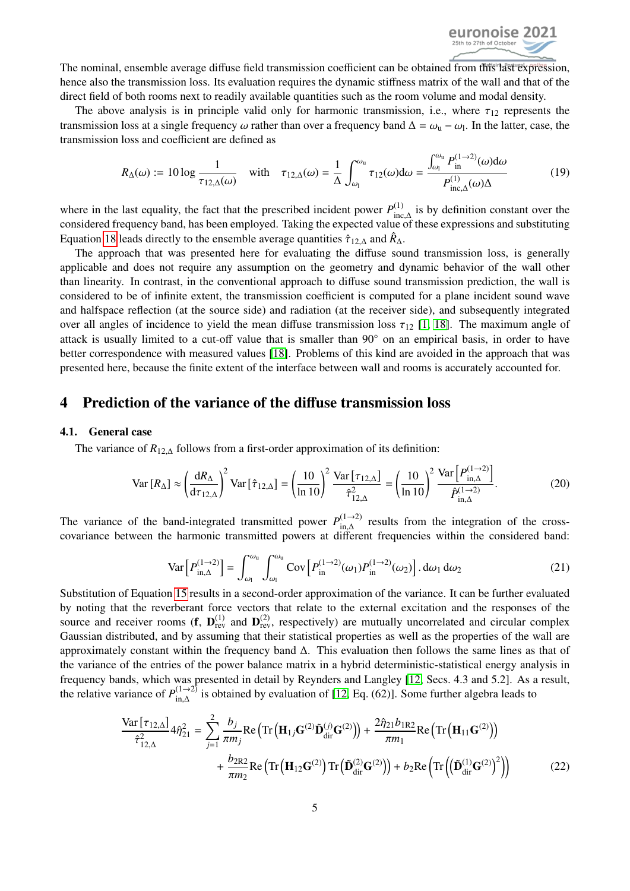

The nominal, ensemble average diffuse field transmission coefficient can be obtained from this last expression, hence also the transmission loss. Its evaluation requires the dynamic stiffness matrix of the wall and that of the direct field of both rooms next to readily available quantities such as the room volume and modal density.

The above analysis is in principle valid only for harmonic transmission, i.e., where  $\tau_{12}$  represents the transmission loss at a single frequency  $\omega$  rather than over a frequency band  $\Delta = \omega_{\rm u} - \omega_{\rm l}$ . In the latter, case, the transmission loss and coefficient are defined as transmission loss and coefficient are defined as

$$
R_{\Delta}(\omega) := 10 \log \frac{1}{\tau_{12,\Delta}(\omega)} \quad \text{with} \quad \tau_{12,\Delta}(\omega) = \frac{1}{\Delta} \int_{\omega_1}^{\omega_0} \tau_{12}(\omega) d\omega = \frac{\int_{\omega_1}^{\omega_0} P_{\text{in}}^{(1-2)}(\omega) d\omega}{P_{\text{inc},\Delta}^{(1)}(\omega)\Delta} \tag{19}
$$

where in the last equality, the fact that the prescribed incident power  $P_{\text{inc}\ A}^{(1)}$  is by definition constant over the where in the rast equality, the ract that the presentied included power r<sub>inc,∆</sub> is by definition constant over the considered frequency band, has been employed. Taking the expected value of these expressions and substitu Equation [18](#page-3-2) leads directly to the ensemble average quantities  $\hat{\tau}_{12,\Delta}$  and  $\hat{R}_{\Delta}$ .<br>The approach that was presented here for evaluating the diffuse sources

The approach that was presented here for evaluating the diffuse sound transmission loss, is generally applicable and does not require any assumption on the geometry and dynamic behavior of the wall other than linearity. In contrast, in the conventional approach to diffuse sound transmission prediction, the wall is considered to be of infinite extent, the transmission coefficient is computed for a plane incident sound wave and halfspace reflection (at the source side) and radiation (at the receiver side), and subsequently integrated over all angles of incidence to yield the mean diffuse transmission loss  $\tau_{12}$  [\[1,](#page-9-0) [18\]](#page-9-17). The maximum angle of attack is usually limited to a cut-off value that is smaller than 90◦ on an empirical basis, in order to have better correspondence with measured values [\[18\]](#page-9-17). Problems of this kind are avoided in the approach that was presented here, because the finite extent of the interface between wall and rooms is accurately accounted for.

# 4 Prediction of the variance of the diffuse transmission loss

#### 4.1. General case

The variance of  $R_{12,\Delta}$  follows from a first-order approximation of its definition:

$$
\text{Var}\left[R_{\Delta}\right] \approx \left(\frac{\mathrm{d}R_{\Delta}}{\mathrm{d}\tau_{12,\Delta}}\right)^2 \text{Var}\left[\hat{\tau}_{12,\Delta}\right] = \left(\frac{10}{\ln 10}\right)^2 \frac{\text{Var}\left[\tau_{12,\Delta}\right]}{\hat{\tau}_{12,\Delta}^2} = \left(\frac{10}{\ln 10}\right)^2 \frac{\text{Var}\left[P_{\text{in},\Delta}^{(1\to 2)}\right]}{\hat{P}_{\text{in},\Delta}^{(1\to 2)}}. \tag{20}
$$

The variance of the band-integrated transmitted power  $P_{\text{in }\Delta}^{(1\rightarrow 2)}$  $\sum_{n=0}^{\infty}$  results from the integration of the cross-<br>ifferent frequencies within the considered band: covariance between the harmonic transmitted powers at different frequencies within the considered band:

<span id="page-4-0"></span>
$$
\text{Var}\left[P_{\text{in},\Delta}^{(1\to 2)}\right] = \int_{\omega_1}^{\omega_\text{u}} \int_{\omega_1}^{\omega_\text{u}} \text{Cov}\left[P_{\text{in}}^{(1\to 2)}(\omega_1)P_{\text{in}}^{(1\to 2)}(\omega_2)\right].\,d\omega_1\,d\omega_2\tag{21}
$$

Substitution of Equation [15](#page-3-1) results in a second-order approximation of the variance. It can be further evaluated by noting that the reverberant force vectors that relate to the external excitation and the responses of the source and receiver rooms (**f**,  $D_{rev}^{(1)}$  and  $D_{rev}^{(2)}$ , respectively) are mutually uncorrelated and circular complex Gaussian distributed, and by assuming that their statistical properties as well as the properties of the wall are approximately constant within the frequency band ∆. This evaluation then follows the same lines as that of the variance of the entries of the power balance matrix in a hybrid deterministic-statistical energy analysis in frequency bands, which was presented in detail by Reynders and Langley [\[12,](#page-9-11) Secs. 4.3 and 5.2]. As a result, the relative variance of  $P_{\text{in }\Lambda}^{(1\rightarrow 2)}$  $\lim_{\text{in},\Delta}$  is obtained by evaluation of [\[12,](#page-9-11) Eq. (62)]. Some further algebra leads to

$$
\frac{\text{Var}[\tau_{12,\Delta}]}{\hat{\tau}_{12,\Delta}^2} 4\hat{\eta}_{21}^2 = \sum_{j=1}^2 \frac{b_j}{\pi m_j} \text{Re} \left( \text{Tr} \left( \mathbf{H}_{1j} \mathbf{G}^{(2)} \tilde{\mathbf{D}}_{\text{dir}}^{(j)} \mathbf{G}^{(2)} \right) \right) + \frac{2\hat{\eta}_{21} b_{1R2}}{\pi m_1} \text{Re} \left( \text{Tr} \left( \mathbf{H}_{11} \mathbf{G}^{(2)} \right) \right) + \frac{b_{2R2}}{\pi m_2} \text{Re} \left( \text{Tr} \left( \mathbf{H}_{12} \mathbf{G}^{(2)} \right) \text{Tr} \left( \tilde{\mathbf{D}}_{\text{dir}}^{(2)} \mathbf{G}^{(2)} \right) \right) + b_2 \text{Re} \left( \text{Tr} \left( \left( \tilde{\mathbf{D}}_{\text{dir}}^{(1)} \mathbf{G}^{(2)} \right)^2 \right) \right)
$$
(22)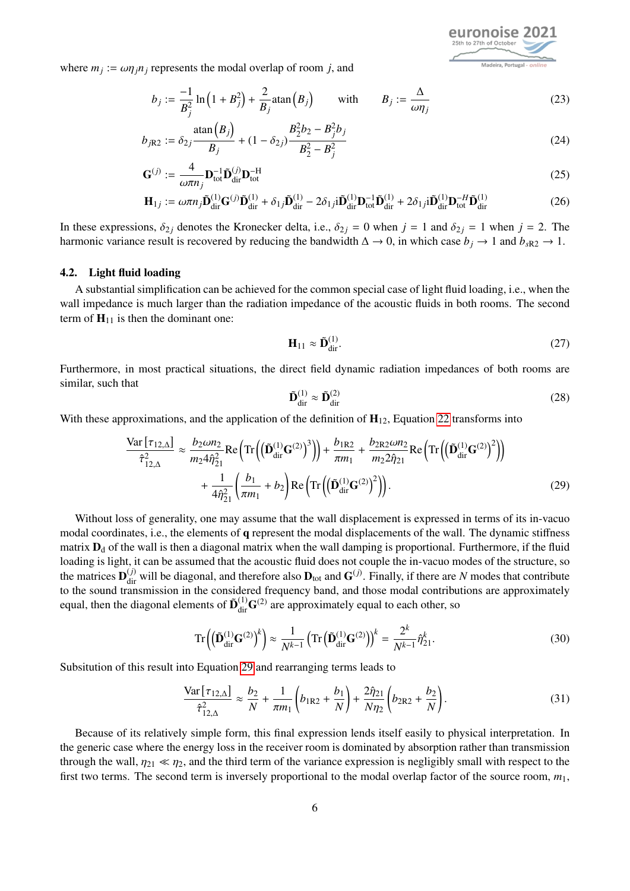where  $m_j := \omega \eta_j n_j$  represents the modal overlap of room *j*, and

$$
b_j := \frac{-1}{B_j^2} \ln \left( 1 + B_j^2 \right) + \frac{2}{B_j} \text{atan} \left( B_j \right) \qquad \text{with} \qquad B_j := \frac{\Delta}{\omega \eta_j} \tag{23}
$$

$$
b_{jR2} := \delta_{2j} \frac{\text{atan}(B_j)}{B_j} + (1 - \delta_{2j}) \frac{B_2^2 b_2 - B_j^2 b_j}{B_2^2 - B_j^2}
$$
 (24)

$$
\mathbf{G}^{(j)} := \frac{4}{\omega \pi n_j} \mathbf{D}_{\text{tot}}^{-1} \tilde{\mathbf{D}}_{\text{dir}}^{(j)} \mathbf{D}_{\text{tot}}^{-H}
$$
(25)

$$
\mathbf{H}_{1j} := \omega \pi n_j \tilde{\mathbf{D}}_{\text{dir}}^{(1)} \mathbf{G}^{(j)} \tilde{\mathbf{D}}_{\text{dir}}^{(1)} + \delta_{1j} \tilde{\mathbf{D}}_{\text{dir}}^{(1)} - 2\delta_{1j} i \tilde{\mathbf{D}}_{\text{dir}}^{(1)} \mathbf{D}_{\text{tot}}^{-1} \tilde{\mathbf{D}}_{\text{dir}}^{(1)} + 2\delta_{1j} i \tilde{\mathbf{D}}_{\text{dir}}^{(1)} \mathbf{D}_{\text{tot}}^{-H} \tilde{\mathbf{D}}_{\text{dir}}^{(1)}
$$
(26)

In these expressions,  $\delta_{2j}$  denotes the Kronecker delta, i.e.,  $\delta_{2j} = 0$  when  $j = 1$  and  $\delta_{2j} = 1$  when  $j = 2$ . The harmonic variance result is recovered by reducing the bandwidth  $\Delta \to 0$ , in which case  $b_j \to 1$  and  $b_{sR2} \to 1$ .

#### 4.2. Light fluid loading

A substantial simplification can be achieved for the common special case of light fluid loading, i.e., when the wall impedance is much larger than the radiation impedance of the acoustic fluids in both rooms. The second term of  $H_{11}$  is then the dominant one:

$$
\mathbf{H}_{11} \approx \tilde{\mathbf{D}}_{\text{dir}}^{(1)}.\tag{27}
$$

Furthermore, in most practical situations, the direct field dynamic radiation impedances of both rooms are similar, such that

<span id="page-5-2"></span><span id="page-5-0"></span>
$$
\tilde{\mathbf{D}}_{\rm dir}^{(1)} \approx \tilde{\mathbf{D}}_{\rm dir}^{(2)} \tag{28}
$$

With these approximations, and the application of the definition of  $H_{12}$ , Equation [22](#page-4-0) transforms into

$$
\frac{\text{Var}\left[\tau_{12,\Delta}\right]}{\hat{\tau}_{12,\Delta}^2} \approx \frac{b_2 \omega n_2}{m_2 4 \hat{\eta}_{21}^2} \text{Re}\left(\text{Tr}\left(\left(\tilde{\mathbf{D}}_{\text{dir}}^{(1)} \mathbf{G}^{(2)}\right)^3\right)\right) + \frac{b_{1R2}}{\pi m_1} + \frac{b_{2R2} \omega n_2}{m_2 2 \hat{\eta}_{21}} \text{Re}\left(\text{Tr}\left(\left(\tilde{\mathbf{D}}_{\text{dir}}^{(1)} \mathbf{G}^{(2)}\right)^2\right)\right) + \frac{1}{4 \hat{\eta}_{21}^2} \left(\frac{b_1}{\pi m_1} + b_2\right) \text{Re}\left(\text{Tr}\left(\left(\tilde{\mathbf{D}}_{\text{dir}}^{(1)} \mathbf{G}^{(2)}\right)^2\right)\right).
$$
\n(29)

Without loss of generality, one may assume that the wall displacement is expressed in terms of its in-vacuo modal coordinates, i.e., the elements of q represent the modal displacements of the wall. The dynamic stiffness matrix  $D_d$  of the wall is then a diagonal matrix when the wall damping is proportional. Furthermore, if the fluid loading is light, it can be assumed that the acoustic fluid does not couple the in-vacuo modes of the structure, so the matrices  $D_{\text{dir}}^{(j)}$  will be diagonal, and therefore also  $D_{\text{tot}}$  and  $G^{(j)}$ . Finally, if there are *N* modes that contribute to the sound transmission in the considered frequency band, and those modal contributions are approximately equal, then the diagonal elements of  $\tilde{\mathbf{D}}_{dir}^{(1)}\mathbf{G}^{(2)}$  are approximately equal to each other, so

<span id="page-5-1"></span>
$$
\operatorname{Tr}\left(\left(\tilde{\mathbf{D}}_{\text{dir}}^{(1)}\mathbf{G}^{(2)}\right)^{k}\right) \approx \frac{1}{N^{k-1}} \left(\operatorname{Tr}\left(\tilde{\mathbf{D}}_{\text{dir}}^{(1)}\mathbf{G}^{(2)}\right)\right)^{k} = \frac{2^{k}}{N^{k-1}} \hat{\eta}_{21}^{k}.
$$
\n(30)

Subsitution of this result into Equation [29](#page-5-0) and rearranging terms leads to

$$
\frac{\text{Var}\left[\tau_{12,\Delta}\right]}{\hat{\tau}_{12,\Delta}^2} \approx \frac{b_2}{N} + \frac{1}{\pi m_1} \left(b_{1R2} + \frac{b_1}{N}\right) + \frac{2\hat{\eta}_{21}}{N\eta_2} \left(b_{2R2} + \frac{b_2}{N}\right). \tag{31}
$$

Because of its relatively simple form, this final expression lends itself easily to physical interpretation. In the generic case where the energy loss in the receiver room is dominated by absorption rather than transmission through the wall,  $\eta_{21} \ll \eta_2$ , and the third term of the variance expression is negligibly small with respect to the first two terms. The second term is inversely proportional to the modal overlap factor of the source room, *m*1,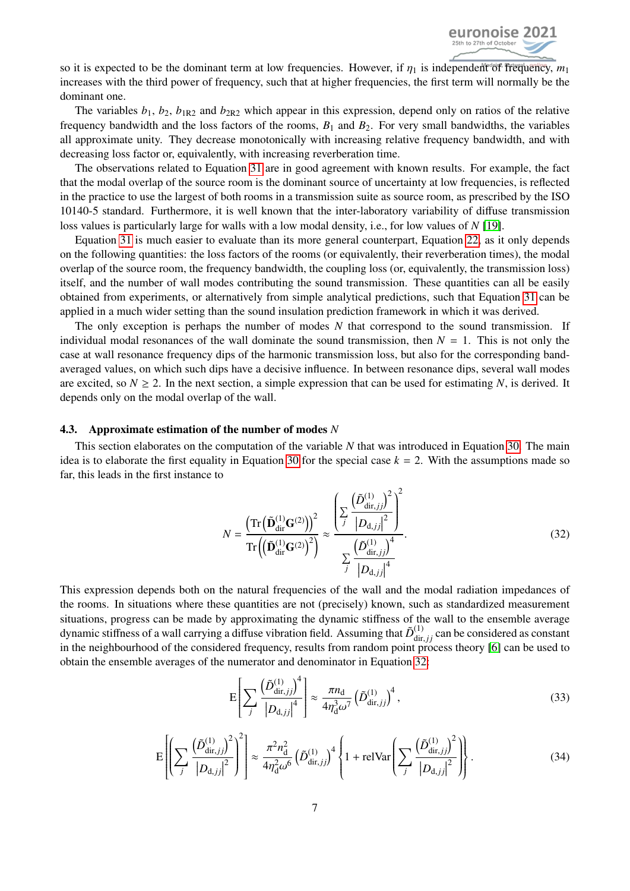

so it is expected to be the dominant term at low frequencies. However, if  $\eta_1$  is independent of frequency,  $m_1$ increases with the third power of frequency, such that at higher frequencies, the first term will normally be the dominant one.

The variables  $b_1$ ,  $b_2$ ,  $b_{1R2}$  and  $b_{2R2}$  which appear in this expression, depend only on ratios of the relative frequency bandwidth and the loss factors of the rooms,  $B_1$  and  $B_2$ . For very small bandwidths, the variables all approximate unity. They decrease monotonically with increasing relative frequency bandwidth, and with decreasing loss factor or, equivalently, with increasing reverberation time.

The observations related to Equation [31](#page-5-1) are in good agreement with known results. For example, the fact that the modal overlap of the source room is the dominant source of uncertainty at low frequencies, is reflected in the practice to use the largest of both rooms in a transmission suite as source room, as prescribed by the ISO 10140-5 standard. Furthermore, it is well known that the inter-laboratory variability of diffuse transmission loss values is particularly large for walls with a low modal density, i.e., for low values of *N* [\[19\]](#page-9-18).

Equation [31](#page-5-1) is much easier to evaluate than its more general counterpart, Equation [22,](#page-4-0) as it only depends on the following quantities: the loss factors of the rooms (or equivalently, their reverberation times), the modal overlap of the source room, the frequency bandwidth, the coupling loss (or, equivalently, the transmission loss) itself, and the number of wall modes contributing the sound transmission. These quantities can all be easily obtained from experiments, or alternatively from simple analytical predictions, such that Equation [31](#page-5-1) can be applied in a much wider setting than the sound insulation prediction framework in which it was derived.

The only exception is perhaps the number of modes *N* that correspond to the sound transmission. If individual modal resonances of the wall dominate the sound transmission, then  $N = 1$ . This is not only the case at wall resonance frequency dips of the harmonic transmission loss, but also for the corresponding bandaveraged values, on which such dips have a decisive influence. In between resonance dips, several wall modes are excited, so  $N \ge 2$ . In the next section, a simple expression that can be used for estimating N, is derived. It depends only on the modal overlap of the wall.

#### 4.3. Approximate estimation of the number of modes *N*

This section elaborates on the computation of the variable *N* that was introduced in Equation [30.](#page-5-2) The main idea is to elaborate the first equality in Equation [30](#page-5-2) for the special case  $k = 2$ . With the assumptions made so far, this leads in the first instance to

<span id="page-6-0"></span>
$$
N = \frac{\left(\text{Tr}\left(\tilde{\mathbf{D}}_{\text{dir}}^{(1)}\mathbf{G}^{(2)}\right)\right)^{2}}{\text{Tr}\left(\left(\tilde{\mathbf{D}}_{\text{dir}}^{(1)}\mathbf{G}^{(2)}\right)^{2}}\right)^{2} \approx \frac{\left(\sum_{j} \frac{\left(\tilde{D}_{\text{dir},jj}^{(1)}\right)^{2}}{\left|D_{\text{d},jj}\right|^{2}}\right)^{2}}{\sum_{j} \frac{\left(\tilde{D}_{\text{dir},jj}^{(1)}\right)^{4}}{\left|D_{\text{d},jj}\right|^{4}}}. \tag{32}
$$

This expression depends both on the natural frequencies of the wall and the modal radiation impedances of the rooms. In situations where these quantities are not (precisely) known, such as standardized measurement situations, progress can be made by approximating the dynamic stiffness of the wall to the ensemble average dynamic stiffness of a wall carrying a diffuse vibration field. Assuming that  $\tilde{D}_{\text{dir},jj}^{(1)}$  can be considered as constant<br>in the neighbourhood of the considered frequency results from random point process theory [6] in the neighbourhood of the considered frequency, results from random point process theory [\[6\]](#page-9-5) can be used to obtain the ensemble averages of the numerator and denominator in Equation [32:](#page-6-0)

$$
E\left[\sum_{j} \frac{\left(\tilde{D}_{\text{dir},jj}^{(1)}\right)^{4}}{\left|D_{\text{d},jj}\right|^{4}}\right] \approx \frac{\pi n_{\text{d}}}{4\eta_{\text{d}}^{3}\omega^{7}} \left(\tilde{D}_{\text{dir},jj}^{(1)}\right)^{4},\tag{33}
$$

$$
E\left[\left(\sum_{j}\frac{(\tilde{D}_{\text{dir},jj}^{(1)})^2}{|D_{\text{d},jj}|^2}\right)^2\right] \approx \frac{\pi^2 n_{\text{d}}^2}{4\eta_{\text{d}}^2 \omega^6} \left(\tilde{D}_{\text{dir},jj}^{(1)}\right)^4 \left\{1 + \text{reluVar}\left(\sum_{j}\frac{(\tilde{D}_{\text{dir},jj}^{(1)})^2}{|D_{\text{d},jj}|^2}\right)\right\}.
$$
 (34)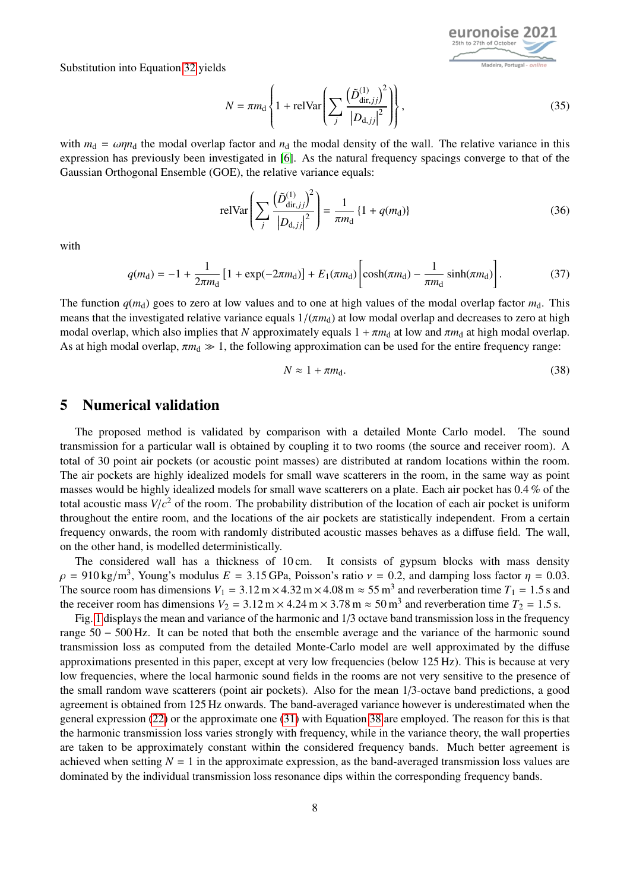Substitution into Equation [32](#page-6-0) yields



$$
N = \pi m_d \left\{ 1 + \text{reluVar}\left(\sum_j \frac{\left(\tilde{D}_{\text{dir},jj}^{(1)}\right)^2}{\left|D_{\text{d},jj}\right|^2}\right) \right\},\tag{35}
$$

with  $m_d = \omega \eta n_d$  the modal overlap factor and  $n_d$  the modal density of the wall. The relative variance in this expression has previously been investigated in [\[6\]](#page-9-5). As the natural frequency spacings converge to that of the Gaussian Orthogonal Ensemble (GOE), the relative variance equals:

$$
relVar\left(\sum_{j} \frac{\left(\tilde{D}_{\text{dir},jj}^{(1)}\right)^2}{\left|D_{\text{d},jj}\right|^2}\right) = \frac{1}{\pi m_d} \left\{1 + q(m_d)\right\}
$$
(36)

with

$$
q(m_{\rm d}) = -1 + \frac{1}{2\pi m_{\rm d}} \left[ 1 + \exp(-2\pi m_{\rm d}) \right] + E_1(\pi m_{\rm d}) \left[ \cosh(\pi m_{\rm d}) - \frac{1}{\pi m_{\rm d}} \sinh(\pi m_{\rm d}) \right]. \tag{37}
$$

The function  $q(m_d)$  goes to zero at low values and to one at high values of the modal overlap factor  $m_d$ . This means that the investigated relative variance equals  $1/(\pi m_d)$  at low modal overlap and decreases to zero at high modal overlap, which also implies that *N* approximately equals  $1 + \pi m_d$  at low and  $\pi m_d$  at high modal overlap. As at high modal overlap,  $\pi m_d \gg 1$ , the following approximation can be used for the entire frequency range:

<span id="page-7-0"></span>
$$
N \approx 1 + \pi m_{\rm d}.\tag{38}
$$

## 5 Numerical validation

The proposed method is validated by comparison with a detailed Monte Carlo model. The sound transmission for a particular wall is obtained by coupling it to two rooms (the source and receiver room). A total of 30 point air pockets (or acoustic point masses) are distributed at random locations within the room. The air pockets are highly idealized models for small wave scatterers in the room, in the same way as point masses would be highly idealized models for small wave scatterers on a plate. Each air pocket has 0.4 % of the total acoustic mass  $V/c^2$  of the room. The probability distribution of the location of each air pocket is uniform<br>throughout the entire room, and the locations of the air pockets are statistically independent. From a cer throughout the entire room, and the locations of the air pockets are statistically independent. From a certain frequency onwards, the room with randomly distributed acoustic masses behaves as a diffuse field. The wall, on the other hand, is modelled deterministically.

The considered wall has a thickness of 10 cm. It consists of gypsum blocks with mass density  $\rho = 910 \text{ kg/m}^3$ , Young's modulus  $E = 3.15 \text{ GPa}$ , Poisson's ratio  $v = 0.2$ , and damping loss factor  $\eta = 0.03$ .<br>The source room has dimensions  $V_t = 3.12 \text{ m} \times 4.32 \text{ m} \times 4.08 \text{ m} \approx 55 \text{ m}^3$  and reverberation time The source room has dimensions  $V_1 = 3.12 \text{ m} \times 4.32 \text{ m} \times 4.08 \text{ m} \approx 55 \text{ m}^3$  and reverberation time  $T_1 = 1.5 \text{ s}$  and the receiver room has dimensions  $V_2 = 3.12 \text{ m} \times 4.24 \text{ m} \times 3.78 \text{ m} \approx 50 \text{ m}^3$  and reve the receiver room has dimensions  $V_2 = 3.12 \text{ m} \times 4.24 \text{ m} \times 3.78 \text{ m} \approx 50 \text{ m}^3$  and reverberation time  $T_2 = 1.5 \text{ s}$ .<br>Fig. 1 displays the mean and variance of the harmonic and 1/3 octave hand transmission loss in

Fig. [1](#page-8-0) displays the mean and variance of the harmonic and 1/3 octave band transmission loss in the frequency range 50 − 500 Hz. It can be noted that both the ensemble average and the variance of the harmonic sound transmission loss as computed from the detailed Monte-Carlo model are well approximated by the diffuse approximations presented in this paper, except at very low frequencies (below 125 Hz). This is because at very low frequencies, where the local harmonic sound fields in the rooms are not very sensitive to the presence of the small random wave scatterers (point air pockets). Also for the mean 1/3-octave band predictions, a good agreement is obtained from 125 Hz onwards. The band-averaged variance however is underestimated when the general expression [\(22\)](#page-4-0) or the approximate one [\(31\)](#page-5-1) with Equation [38](#page-7-0) are employed. The reason for this is that the harmonic transmission loss varies strongly with frequency, while in the variance theory, the wall properties are taken to be approximately constant within the considered frequency bands. Much better agreement is achieved when setting  $N = 1$  in the approximate expression, as the band-averaged transmission loss values are dominated by the individual transmission loss resonance dips within the corresponding frequency bands.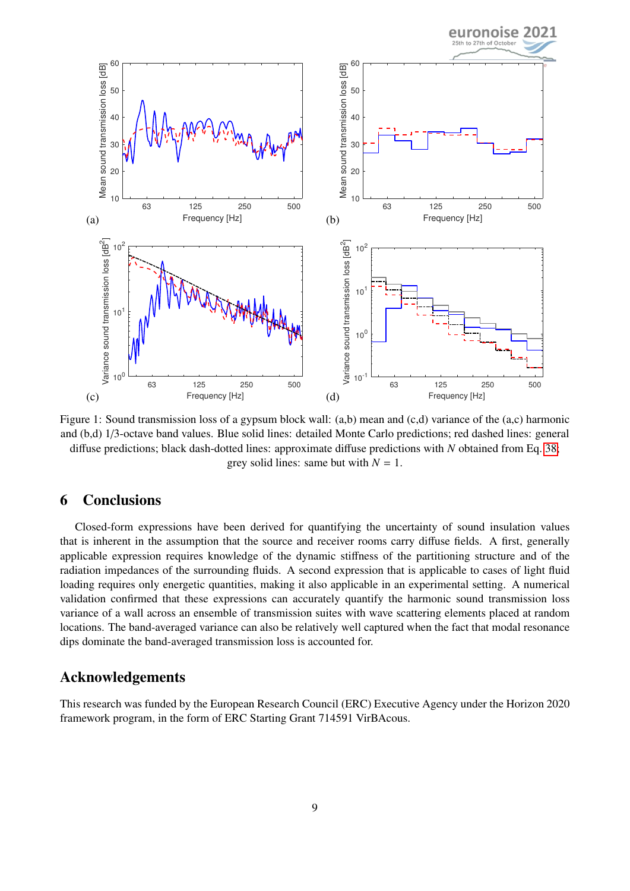<span id="page-8-0"></span>

Figure 1: Sound transmission loss of a gypsum block wall: (a,b) mean and (c,d) variance of the (a,c) harmonic and (b,d) 1/3-octave band values. Blue solid lines: detailed Monte Carlo predictions; red dashed lines: general diffuse predictions; black dash-dotted lines: approximate diffuse predictions with *N* obtained from Eq. [38;](#page-7-0) grey solid lines: same but with  $N = 1$ .

# 6 Conclusions

Closed-form expressions have been derived for quantifying the uncertainty of sound insulation values that is inherent in the assumption that the source and receiver rooms carry diffuse fields. A first, generally applicable expression requires knowledge of the dynamic stiffness of the partitioning structure and of the radiation impedances of the surrounding fluids. A second expression that is applicable to cases of light fluid loading requires only energetic quantities, making it also applicable in an experimental setting. A numerical validation confirmed that these expressions can accurately quantify the harmonic sound transmission loss variance of a wall across an ensemble of transmission suites with wave scattering elements placed at random locations. The band-averaged variance can also be relatively well captured when the fact that modal resonance dips dominate the band-averaged transmission loss is accounted for.

# Acknowledgements

This research was funded by the European Research Council (ERC) Executive Agency under the Horizon 2020 framework program, in the form of ERC Starting Grant 714591 VirBAcous.